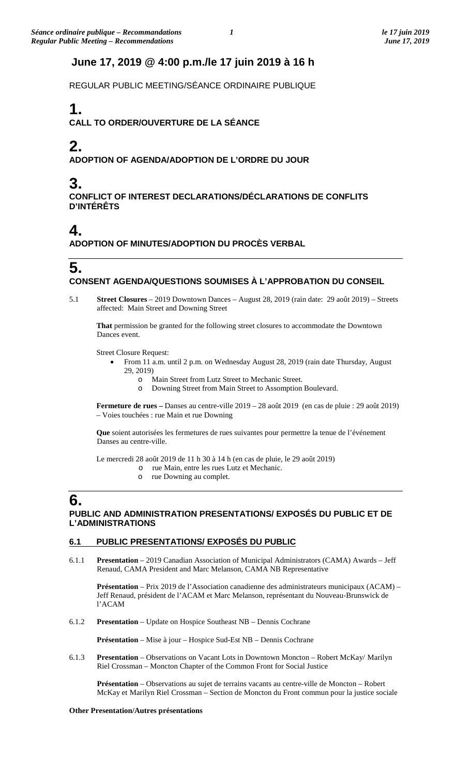## **June 17, 2019 @ 4:00 p.m./le 17 juin 2019 à 16 h**

REGULAR PUBLIC MEETING/SÉANCE ORDINAIRE PUBLIQUE

# **1.**

**CALL TO ORDER/OUVERTURE DE LA SÉANCE**

# **2.**

**ADOPTION OF AGENDA/ADOPTION DE L'ORDRE DU JOUR**

# **3.**

**CONFLICT OF INTEREST DECLARATIONS/DÉCLARATIONS DE CONFLITS D'INTÉRÊTS**

## **4.**

**ADOPTION OF MINUTES/ADOPTION DU PROCÈS VERBAL**

### **5. CONSENT AGENDA/QUESTIONS SOUMISES À L'APPROBATION DU CONSEIL**

5.1 **Street Closures** – 2019 Downtown Dances – August 28, 2019 (rain date: 29 août 2019) – Streets affected: Main Street and Downing Street

**That** permission be granted for the following street closures to accommodate the Downtown Dances event.

Street Closure Request:

- From 11 a.m. until 2 p.m. on Wednesday August 28, 2019 (rain date Thursday, August 29, 2019)
	- o Main Street from Lutz Street to Mechanic Street.
	- o Downing Street from Main Street to Assomption Boulevard.

**Fermeture de rues –** Danses au centre-ville 2019 – 28 août 2019 (en cas de pluie : 29 août 2019) – Voies touchées : rue Main et rue Downing

**Que** soient autorisées les fermetures de rues suivantes pour permettre la tenue de l'événement Danses au centre-ville.

Le mercredi 28 août 2019 de 11 h 30 à 14 h (en cas de pluie, le 29 août 2019)

- o rue Main, entre les rues Lutz et Mechanic.
- o rue Downing au complet.

## **6.**

#### **PUBLIC AND ADMINISTRATION PRESENTATIONS/ EXPOSÉS DU PUBLIC ET DE L'ADMINISTRATIONS**

#### **6.1 PUBLIC PRESENTATIONS/ EXPOSÉS DU PUBLIC**

6.1.1 **Presentation** – 2019 Canadian Association of Municipal Administrators (CAMA) Awards – Jeff Renaud, CAMA President and Marc Melanson, CAMA NB Representative

**Présentation** – Prix 2019 de l'Association canadienne des administrateurs municipaux (ACAM) – Jeff Renaud, président de l'ACAM et Marc Melanson, représentant du Nouveau-Brunswick de l'ACAM

6.1.2 **Presentation** – Update on Hospice Southeast NB – Dennis Cochrane

**Présentation** – Mise à jour – Hospice Sud-Est NB – Dennis Cochrane

6.1.3 **Presentation** – Observations on Vacant Lots in Downtown Moncton – Robert McKay/ Marilyn Riel Crossman – Moncton Chapter of the Common Front for Social Justice

**Présentation** – Observations au sujet de terrains vacants au centre-ville de Moncton – Robert McKay et Marilyn Riel Crossman – Section de Moncton du Front commun pour la justice sociale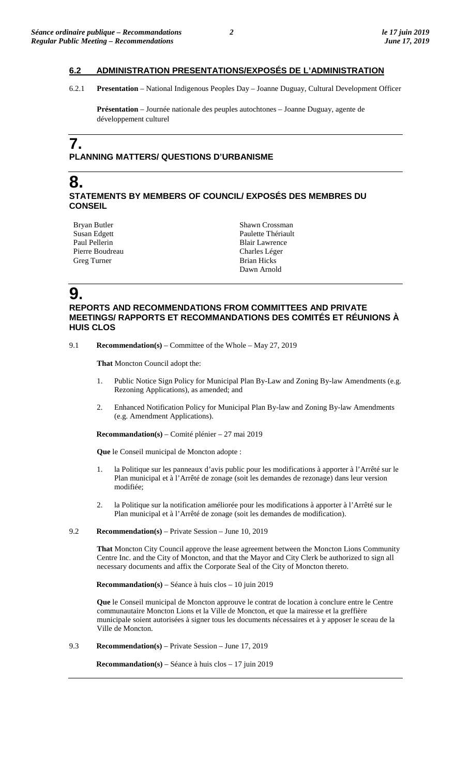#### **6.2 ADMINISTRATION PRESENTATIONS/EXPOSÉS DE L'ADMINISTRATION**

6.2.1 **Presentation** – National Indigenous Peoples Day – Joanne Duguay, Cultural Development Officer

**Présentation** – Journée nationale des peuples autochtones – Joanne Duguay, agente de développement culturel

## **7. PLANNING MATTERS/ QUESTIONS D'URBANISME**

#### **8. STATEMENTS BY MEMBERS OF COUNCIL/ EXPOSÉS DES MEMBRES DU CONSEIL**

| Bryan Butler    |
|-----------------|
| Susan Edgett    |
| Paul Pellerin   |
| Pierre Boudreau |
| Greg Turner     |

Shawn Crossman Paulette Thériault Blair Lawrence Charles Léger Brian Hicks Dawn Arnold

## **9.**

#### **REPORTS AND RECOMMENDATIONS FROM COMMITTEES AND PRIVATE MEETINGS/ RAPPORTS ET RECOMMANDATIONS DES COMITÉS ET RÉUNIONS À HUIS CLOS**

9.1 **Recommendation(s)** – Committee of the Whole – May 27, 2019

**That** Moncton Council adopt the:

- 1. Public Notice Sign Policy for Municipal Plan By-Law and Zoning By-law Amendments (e.g. Rezoning Applications), as amended; and
- 2. Enhanced Notification Policy for Municipal Plan By-law and Zoning By-law Amendments (e.g. Amendment Applications).

**Recommandation(s)** – Comité plénier – 27 mai 2019

**Que** le Conseil municipal de Moncton adopte :

- 1. la Politique sur les panneaux d'avis public pour les modifications à apporter à l'Arrêté sur le Plan municipal et à l'Arrêté de zonage (soit les demandes de rezonage) dans leur version modifiée;
- 2. la Politique sur la notification améliorée pour les modifications à apporter à l'Arrêté sur le Plan municipal et à l'Arrêté de zonage (soit les demandes de modification).

#### 9.2 **Recommendation(s)** – Private Session – June 10, 2019

**That** Moncton City Council approve the lease agreement between the Moncton Lions Community Centre Inc. and the City of Moncton, and that the Mayor and City Clerk be authorized to sign all necessary documents and affix the Corporate Seal of the City of Moncton thereto.

**Recommandation(s)** – Séance à huis clos – 10 juin 2019

**Que** le Conseil municipal de Moncton approuve le contrat de location à conclure entre le Centre communautaire Moncton Lions et la Ville de Moncton, et que la mairesse et la greffière municipale soient autorisées à signer tous les documents nécessaires et à y apposer le sceau de la Ville de Moncton.

9.3 **Recommendation(s)** – Private Session – June 17, 2019

**Recommandation(s)** – Séance à huis clos – 17 juin 2019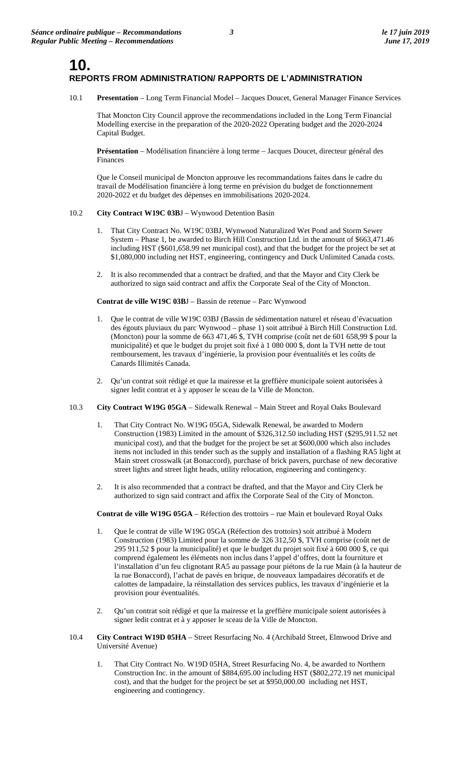## **10. REPORTS FROM ADMINISTRATION/ RAPPORTS DE L'ADMINISTRATION**

10.1 **Presentation** – Long Term Financial Model – Jacques Doucet, General Manager Finance Services

That Moncton City Council approve the recommendations included in the Long Term Financial Modelling exercise in the preparation of the 2020-2022 Operating budget and the 2020-2024 Capital Budget.

**Présentation** – Modélisation financière à long terme – Jacques Doucet, directeur général des Finances

Que le Conseil municipal de Moncton approuve les recommandations faites dans le cadre du travail de Modélisation financière à long terme en prévision du budget de fonctionnement 2020-2022 et du budget des dépenses en immobilisations 2020-2024.

#### 10.2 **City Contract W19C 03B**J – Wynwood Detention Basin

- 1. That City Contract No. W19C 03BJ, Wynwood Naturalized Wet Pond and Storm Sewer System – Phase 1, be awarded to Birch Hill Construction Ltd. in the amount of \$663,471.46 including HST (\$601,658.99 net municipal cost), and that the budget for the project be set at \$1,080,000 including net HST, engineering, contingency and Duck Unlimited Canada costs.
- 2. It is also recommended that a contract be drafted, and that the Mayor and City Clerk be authorized to sign said contract and affix the Corporate Seal of the City of Moncton.

**Contrat de ville W19C 03B**J – Bassin de retenue – Parc Wynwood

- 1. Que le contrat de ville W19C 03BJ (Bassin de sédimentation naturel et réseau d'évacuation des égouts pluviaux du parc Wynwood – phase 1) soit attribué à Birch Hill Construction Ltd. (Moncton) pour la somme de 663 471,46 \$, TVH comprise (coût net de 601 658,99 \$ pour la municipalité) et que le budget du projet soit fixé à 1 080 000 \$, dont la TVH nette de tout remboursement, les travaux d'ingénierie, la provision pour éventualités et les coûts de Canards Illimités Canada.
- 2. Qu'un contrat soit rédigé et que la mairesse et la greffière municipale soient autorisées à signer ledit contrat et à y apposer le sceau de la Ville de Moncton.
- 10.3 **City Contract W19G 05GA** Sidewalk Renewal Main Street and Royal Oaks Boulevard
	- 1. That City Contract No. W19G 05GA, Sidewalk Renewal, be awarded to Modern Construction (1983) Limited in the amount of \$326,312.50 including HST (\$295,911.52 net municipal cost), and that the budget for the project be set at \$600,000 which also includes items not included in this tender such as the supply and installation of a flashing RA5 light at Main street crosswalk (at Bonaccord), purchase of brick pavers, purchase of new decorative street lights and street light heads, utility relocation, engineering and contingency.
	- 2. It is also recommended that a contract be drafted, and that the Mayor and City Clerk be authorized to sign said contract and affix the Corporate Seal of the City of Moncton.

**Contrat de ville W19G 05GA** – Réfection des trottoirs – rue Main et boulevard Royal Oaks

- 1. Que le contrat de ville W19G 05GA (Réfection des trottoirs) soit attribué à Modern Construction (1983) Limited pour la somme de 326 312,50 \$, TVH comprise (coût net de 295 911,52 \$ pour la municipalité) et que le budget du projet soit fixé à 600 000 \$, ce qui comprend également les éléments non inclus dans l'appel d'offres, dont la fourniture et l'installation d'un feu clignotant RA5 au passage pour piétons de la rue Main (à la hauteur de la rue Bonaccord), l'achat de pavés en brique, de nouveaux lampadaires décoratifs et de calottes de lampadaire, la réinstallation des services publics, les travaux d'ingénierie et la provision pour éventualités.
- 2. Qu'un contrat soit rédigé et que la mairesse et la greffière municipale soient autorisées à signer ledit contrat et à y apposer le sceau de la Ville de Moncton.
- 10.4 **City Contract W19D 05HA** Street Resurfacing No. 4 (Archibald Street, Elmwood Drive and Université Avenue)
	- 1. That City Contract No. W19D 05HA, Street Resurfacing No. 4, be awarded to Northern Construction Inc. in the amount of \$884,695.00 including HST (\$802,272.19 net municipal cost), and that the budget for the project be set at \$950,000.00 including net HST, engineering and contingency.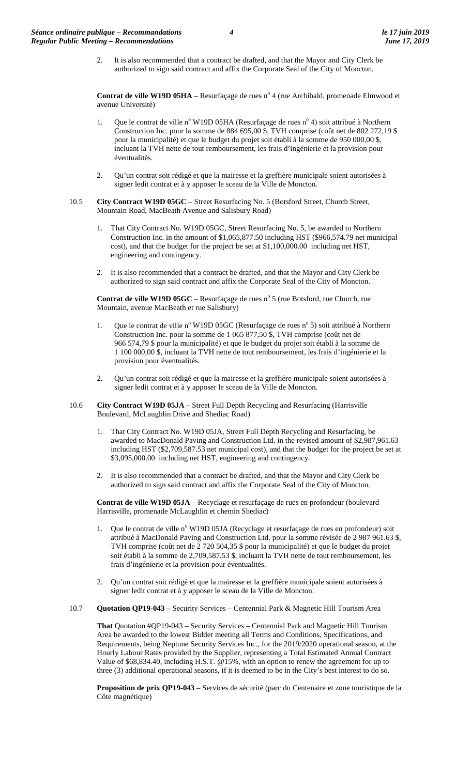2. It is also recommended that a contract be drafted, and that the Mayor and City Clerk be authorized to sign said contract and affix the Corporate Seal of the City of Moncton.

**Contrat de ville W19D 05HA** – Resurfaçage de rues n° 4 (rue Archibald, promenade Elmwood et avenue Université)

- Que le contrat de ville n<sup>o</sup> W19D 05HA (Resurfaçage de rues n<sup>o</sup> 4) soit attribué à Northern Construction Inc. pour la somme de 884 695,00 \$, TVH comprise (coût net de 802 272,19 \$ pour la municipalité) et que le budget du projet soit établi à la somme de 950 000,00 \$, incluant la TVH nette de tout remboursement, les frais d'ingénierie et la provision pour éventualités.
- 2. Qu'un contrat soit rédigé et que la mairesse et la greffière municipale soient autorisées à signer ledit contrat et à y apposer le sceau de la Ville de Moncton.
- 10.5 **City Contract W19D 05GC** Street Resurfacing No. 5 (Botsford Street, Church Street, Mountain Road, MacBeath Avenue and Salisbury Road)
	- 1. That City Contract No. W19D 05GC, Street Resurfacing No. 5, be awarded to Northern Construction Inc. in the amount of \$1,065,877.50 including HST (\$966,574.79 net municipal cost), and that the budget for the project be set at \$1,100,000.00 including net HST, engineering and contingency.
	- 2. It is also recommended that a contract be drafted, and that the Mayor and City Clerk be authorized to sign said contract and affix the Corporate Seal of the City of Moncton.

**Contrat de ville W19D 05GC** – Resurfaçage de rues n° 5 (rue Botsford, rue Church, rue Mountain, avenue MacBeath et rue Salisbury)

- 1. Que le contrat de ville n° W19D 05GC (Resurfaçage de rues n° 5) soit attribué à Northern Construction Inc. pour la somme de 1 065 877,50 \$, TVH comprise (coût net de 966 574,79 \$ pour la municipalité) et que le budget du projet soit établi à la somme de 1 100 000,00 \$, incluant la TVH nette de tout remboursement, les frais d'ingénierie et la provision pour éventualités.
- 2. Qu'un contrat soit rédigé et que la mairesse et la greffière municipale soient autorisées à signer ledit contrat et à y apposer le sceau de la Ville de Moncton.
- 10.6 **City Contract W19D 05JA** Street Full Depth Recycling and Resurfacing (Harrisville Boulevard, McLaughlin Drive and Shediac Road)
	- 1. That City Contract No. W19D 05JA, Street Full Depth Recycling and Resurfacing, be awarded to MacDonald Paving and Construction Ltd. in the revised amount of \$2,987,961.63 including HST (\$2,709,587.53 net municipal cost), and that the budget for the project be set at \$3,095,000.00 including net HST, engineering and contingency.
	- 2. It is also recommended that a contract be drafted, and that the Mayor and City Clerk be authorized to sign said contract and affix the Corporate Seal of the City of Moncton.

**Contrat de ville W19D 05JA** – Recyclage et resurfaçage de rues en profondeur (boulevard Harrisville, promenade McLaughlin et chemin Shediac)

- Que le contrat de ville n° W19D 05JA (Recyclage et resurfaçage de rues en profondeur) soit attribué à MacDonald Paving and Construction Ltd. pour la somme révisée de 2 987 961.63 \$, TVH comprise (coût net de 2 720 504,35 \$ pour la municipalité) et que le budget du projet soit établi à la somme de 2,709,587.53 \$, incluant la TVH nette de tout remboursement, les frais d'ingénierie et la provision pour éventualités.
- 2. Qu'un contrat soit rédigé et que la mairesse et la greffière municipale soient autorisées à signer ledit contrat et à y apposer le sceau de la Ville de Moncton.
- 10.7 **Quotation QP19-043**  Security Services Centennial Park & Magnetic Hill Tourism Area

**That** Quotation #QP19-043 – Security Services – Centennial Park and Magnetic Hill Tourism Area be awarded to the lowest Bidder meeting all Terms and Conditions, Specifications, and Requirements, being Neptune Security Services Inc., for the 2019/2020 operational season, at the Hourly Labour Rates provided by the Supplier, representing a Total Estimated Annual Contract Value of \$68,834.40, including H.S.T. @15%, with an option to renew the agreement for up to three (3) additional operational seasons, if it is deemed to be in the City's best interest to do so.

**Proposition de prix QP19-043** – Services de sécurité (parc du Centenaire et zone touristique de la Côte magnétique)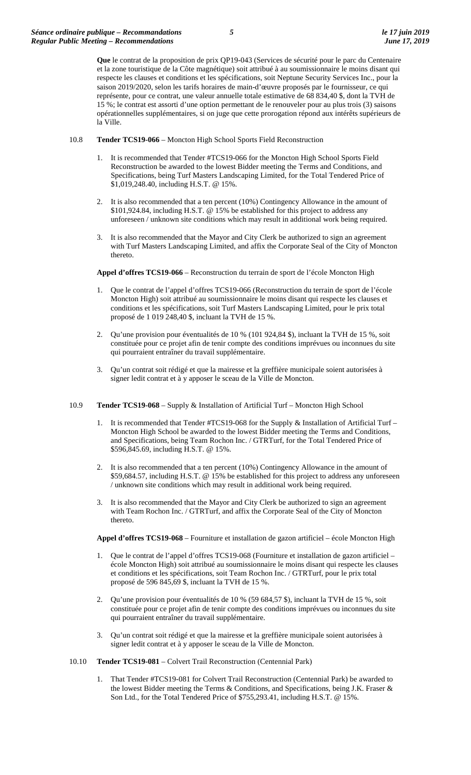**Que** le contrat de la proposition de prix QP19-043 (Services de sécurité pour le parc du Centenaire et la zone touristique de la Côte magnétique) soit attribué à au soumissionnaire le moins disant qui respecte les clauses et conditions et les spécifications, soit Neptune Security Services Inc., pour la saison 2019/2020, selon les tarifs horaires de main-d'œuvre proposés par le fournisseur, ce qui représente, pour ce contrat, une valeur annuelle totale estimative de 68 834,40 \$, dont la TVH de 15 %; le contrat est assorti d'une option permettant de le renouveler pour au plus trois (3) saisons opérationnelles supplémentaires, si on juge que cette prorogation répond aux intérêts supérieurs de la Ville.

- 10.8 **Tender TCS19-066**  Moncton High School Sports Field Reconstruction
	- It is recommended that Tender #TCS19-066 for the Moncton High School Sports Field Reconstruction be awarded to the lowest Bidder meeting the Terms and Conditions, and Specifications, being Turf Masters Landscaping Limited, for the Total Tendered Price of \$1,019,248.40, including H.S.T. @ 15%.
	- 2. It is also recommended that a ten percent (10%) Contingency Allowance in the amount of \$101,924.84, including H.S.T. @ 15% be established for this project to address any unforeseen / unknown site conditions which may result in additional work being required.
	- It is also recommended that the Mayor and City Clerk be authorized to sign an agreement with Turf Masters Landscaping Limited, and affix the Corporate Seal of the City of Moncton thereto.

**Appel d'offres TCS19-066** – Reconstruction du terrain de sport de l'école Moncton High

- 1. Que le contrat de l'appel d'offres TCS19-066 (Reconstruction du terrain de sport de l'école Moncton High) soit attribué au soumissionnaire le moins disant qui respecte les clauses et conditions et les spécifications, soit Turf Masters Landscaping Limited, pour le prix total proposé de 1 019 248,40 \$, incluant la TVH de 15 %.
- 2. Qu'une provision pour éventualités de 10 % (101 924,84 \$), incluant la TVH de 15 %, soit constituée pour ce projet afin de tenir compte des conditions imprévues ou inconnues du site qui pourraient entraîner du travail supplémentaire.
- 3. Qu'un contrat soit rédigé et que la mairesse et la greffière municipale soient autorisées à signer ledit contrat et à y apposer le sceau de la Ville de Moncton.
- 10.9 **Tender TCS19-068**  Supply & Installation of Artificial Turf Moncton High School
	- It is recommended that Tender #TCS19-068 for the Supply & Installation of Artificial Turf Moncton High School be awarded to the lowest Bidder meeting the Terms and Conditions, and Specifications, being Team Rochon Inc. / GTRTurf, for the Total Tendered Price of \$596,845.69, including H.S.T. @ 15%.
	- 2. It is also recommended that a ten percent (10%) Contingency Allowance in the amount of \$59,684.57, including H.S.T. @ 15% be established for this project to address any unforeseen / unknown site conditions which may result in additional work being required.
	- 3. It is also recommended that the Mayor and City Clerk be authorized to sign an agreement with Team Rochon Inc. / GTRTurf, and affix the Corporate Seal of the City of Moncton thereto.

**Appel d'offres TCS19-068** – Fourniture et installation de gazon artificiel – école Moncton High

- 1. Que le contrat de l'appel d'offres TCS19-068 (Fourniture et installation de gazon artificiel école Moncton High) soit attribué au soumissionnaire le moins disant qui respecte les clauses et conditions et les spécifications, soit Team Rochon Inc. / GTRTurf, pour le prix total proposé de 596 845,69 \$, incluant la TVH de 15 %.
- 2. Qu'une provision pour éventualités de 10 % (59 684,57 \$), incluant la TVH de 15 %, soit constituée pour ce projet afin de tenir compte des conditions imprévues ou inconnues du site qui pourraient entraîner du travail supplémentaire.
- 3. Qu'un contrat soit rédigé et que la mairesse et la greffière municipale soient autorisées à signer ledit contrat et à y apposer le sceau de la Ville de Moncton.
- 10.10 **Tender TCS19-081**  Colvert Trail Reconstruction (Centennial Park)
	- 1. That Tender #TCS19-081 for Colvert Trail Reconstruction (Centennial Park) be awarded to the lowest Bidder meeting the Terms & Conditions, and Specifications, being J.K. Fraser & Son Ltd., for the Total Tendered Price of \$755,293.41, including H.S.T. @ 15%.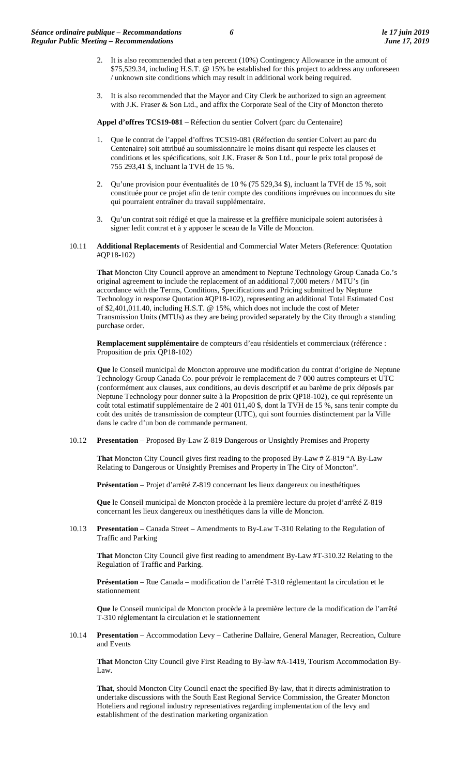- 2. It is also recommended that a ten percent (10%) Contingency Allowance in the amount of \$75,529.34, including H.S.T. @ 15% be established for this project to address any unforeseen / unknown site conditions which may result in additional work being required.
- 3. It is also recommended that the Mayor and City Clerk be authorized to sign an agreement with J.K. Fraser & Son Ltd., and affix the Corporate Seal of the City of Moncton thereto

**Appel d'offres TCS19-081** – Réfection du sentier Colvert (parc du Centenaire)

- 1. Que le contrat de l'appel d'offres TCS19-081 (Réfection du sentier Colvert au parc du Centenaire) soit attribué au soumissionnaire le moins disant qui respecte les clauses et conditions et les spécifications, soit J.K. Fraser & Son Ltd., pour le prix total proposé de 755 293,41 \$, incluant la TVH de 15 %.
- 2. Qu'une provision pour éventualités de 10 % (75 529,34 \$), incluant la TVH de 15 %, soit constituée pour ce projet afin de tenir compte des conditions imprévues ou inconnues du site qui pourraient entraîner du travail supplémentaire.
- 3. Qu'un contrat soit rédigé et que la mairesse et la greffière municipale soient autorisées à signer ledit contrat et à y apposer le sceau de la Ville de Moncton.
- 10.11 **Additional Replacements** of Residential and Commercial Water Meters (Reference: Quotation #QP18-102)

**That** Moncton City Council approve an amendment to Neptune Technology Group Canada Co.'s original agreement to include the replacement of an additional 7,000 meters / MTU's (in accordance with the Terms, Conditions, Specifications and Pricing submitted by Neptune Technology in response Quotation #QP18-102), representing an additional Total Estimated Cost of \$2,401,011.40, including H.S.T. @ 15%, which does not include the cost of Meter Transmission Units (MTUs) as they are being provided separately by the City through a standing purchase order.

**Remplacement supplémentaire** de compteurs d'eau résidentiels et commerciaux (référence : Proposition de prix QP18-102)

**Que** le Conseil municipal de Moncton approuve une modification du contrat d'origine de Neptune Technology Group Canada Co. pour prévoir le remplacement de 7 000 autres compteurs et UTC (conformément aux clauses, aux conditions, au devis descriptif et au barème de prix déposés par Neptune Technology pour donner suite à la Proposition de prix QP18-102), ce qui représente un coût total estimatif supplémentaire de 2 401 011,40 \$, dont la TVH de 15 %, sans tenir compte du coût des unités de transmission de compteur (UTC), qui sont fournies distinctement par la Ville dans le cadre d'un bon de commande permanent.

10.12 **Presentation** – Proposed By-Law Z-819 Dangerous or Unsightly Premises and Property

**That** Moncton City Council gives first reading to the proposed By-Law # Z-819 "A By-Law Relating to Dangerous or Unsightly Premises and Property in The City of Moncton".

**Présentation** – Projet d'arrêté Z-819 concernant les lieux dangereux ou inesthétiques

**Que** le Conseil municipal de Moncton procède à la première lecture du projet d'arrêté Z-819 concernant les lieux dangereux ou inesthétiques dans la ville de Moncton.

10.13 **Presentation** – Canada Street – Amendments to By-Law T-310 Relating to the Regulation of Traffic and Parking

**That** Moncton City Council give first reading to amendment By-Law #T-310.32 Relating to the Regulation of Traffic and Parking.

**Présentation** – Rue Canada – modification de l'arrêté T-310 réglementant la circulation et le stationnement

**Que** le Conseil municipal de Moncton procède à la première lecture de la modification de l'arrêté T-310 réglementant la circulation et le stationnement

10.14 **Presentation** – Accommodation Levy – Catherine Dallaire, General Manager, Recreation, Culture and Events

**That** Moncton City Council give First Reading to By-law #A-1419, Tourism Accommodation By-Law.

**That**, should Moncton City Council enact the specified By-law, that it directs administration to undertake discussions with the South East Regional Service Commission, the Greater Moncton Hoteliers and regional industry representatives regarding implementation of the levy and establishment of the destination marketing organization